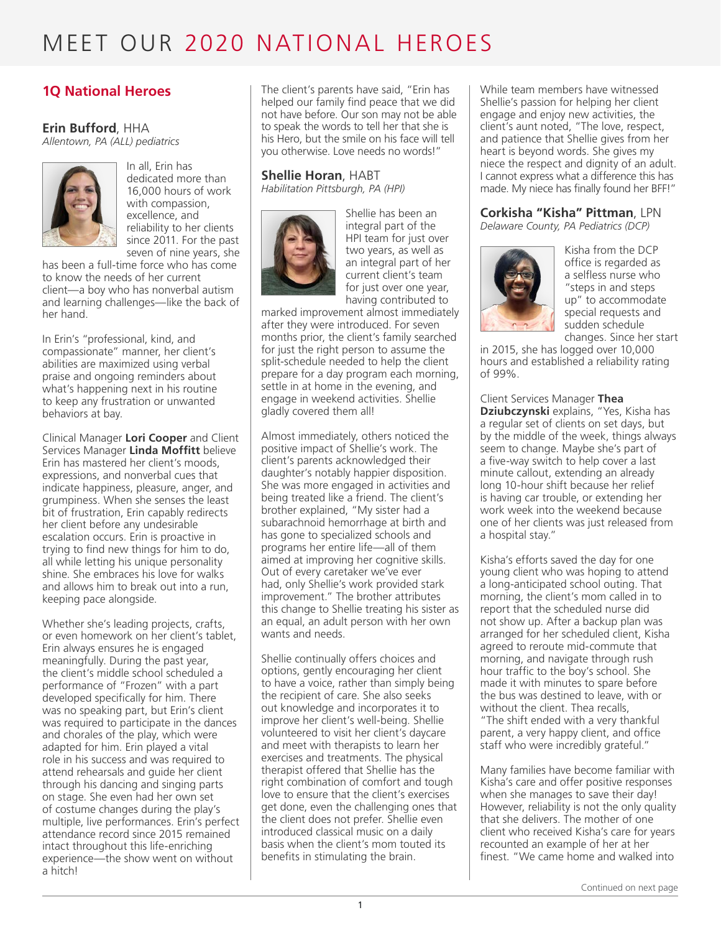### **1Q National Heroes**

#### **Erin Bufford**, HHA

*Allentown, PA (ALL) pediatrics* 



In all, Erin has dedicated more than 16,000 hours of work with compassion, excellence, and reliability to her clients since 2011. For the past seven of nine years, she

has been a full-time force who has come to know the needs of her current client—a boy who has nonverbal autism and learning challenges—like the back of her hand.

In Erin's "professional, kind, and compassionate" manner, her client's abilities are maximized using verbal praise and ongoing reminders about what's happening next in his routine to keep any frustration or unwanted behaviors at bay.

Clinical Manager **Lori Cooper** and Client Services Manager **Linda Moffitt** believe Erin has mastered her client's moods, expressions, and nonverbal cues that indicate happiness, pleasure, anger, and grumpiness. When she senses the least bit of frustration, Erin capably redirects her client before any undesirable escalation occurs. Erin is proactive in trying to find new things for him to do, all while letting his unique personality shine. She embraces his love for walks and allows him to break out into a run, keeping pace alongside.

Whether she's leading projects, crafts, or even homework on her client's tablet, Erin always ensures he is engaged meaningfully. During the past year, the client's middle school scheduled a performance of "Frozen" with a part developed specifically for him. There was no speaking part, but Erin's client was required to participate in the dances and chorales of the play, which were adapted for him. Erin played a vital role in his success and was required to attend rehearsals and guide her client through his dancing and singing parts on stage. She even had her own set of costume changes during the play's multiple, live performances. Erin's perfect attendance record since 2015 remained intact throughout this life-enriching experience—the show went on without a hitch!

The client's parents have said, "Erin has helped our family find peace that we did not have before. Our son may not be able to speak the words to tell her that she is his Hero, but the smile on his face will tell you otherwise. Love needs no words!"

## **Shellie Horan**, HABT

*Habilitation Pittsburgh, PA (HPI)* 



Shellie has been an integral part of the HPI team for just over two years, as well as an integral part of her current client's team for just over one year, having contributed to

marked improvement almost immediately after they were introduced. For seven months prior, the client's family searched for just the right person to assume the split-schedule needed to help the client prepare for a day program each morning, settle in at home in the evening, and engage in weekend activities. Shellie gladly covered them all!

Almost immediately, others noticed the positive impact of Shellie's work. The client's parents acknowledged their daughter's notably happier disposition. She was more engaged in activities and being treated like a friend. The client's brother explained, "My sister had a subarachnoid hemorrhage at birth and has gone to specialized schools and programs her entire life—all of them aimed at improving her cognitive skills. Out of every caretaker we've ever had, only Shellie's work provided stark improvement." The brother attributes this change to Shellie treating his sister as an equal, an adult person with her own wants and needs.

Shellie continually offers choices and options, gently encouraging her client to have a voice, rather than simply being the recipient of care. She also seeks out knowledge and incorporates it to improve her client's well-being. Shellie volunteered to visit her client's daycare and meet with therapists to learn her exercises and treatments. The physical therapist offered that Shellie has the right combination of comfort and tough love to ensure that the client's exercises get done, even the challenging ones that the client does not prefer. Shellie even introduced classical music on a daily basis when the client's mom touted its benefits in stimulating the brain.

While team members have witnessed Shellie's passion for helping her client engage and enjoy new activities, the client's aunt noted, "The love, respect, and patience that Shellie gives from her heart is beyond words. She gives my niece the respect and dignity of an adult. I cannot express what a difference this has made. My niece has finally found her BFF!"

#### **Corkisha "Kisha" Pittman**, LPN

*Delaware County, PA Pediatrics (DCP)*



Kisha from the DCP office is regarded as a selfless nurse who "steps in and steps up" to accommodate special requests and sudden schedule changes. Since her start

in 2015, she has logged over 10,000 hours and established a reliability rating of 99%.

Client Services Manager **Thea Dziubczynski** explains, "Yes, Kisha has a regular set of clients on set days, but by the middle of the week, things always seem to change. Maybe she's part of a five-way switch to help cover a last minute callout, extending an already long 10-hour shift because her relief is having car trouble, or extending her work week into the weekend because one of her clients was just released from a hospital stay."

Kisha's efforts saved the day for one young client who was hoping to attend a long-anticipated school outing. That morning, the client's mom called in to report that the scheduled nurse did not show up. After a backup plan was arranged for her scheduled client, Kisha agreed to reroute mid-commute that morning, and navigate through rush hour traffic to the boy's school. She made it with minutes to spare before the bus was destined to leave, with or without the client. Thea recalls, "The shift ended with a very thankful

parent, a very happy client, and office staff who were incredibly grateful."

Many families have become familiar with Kisha's care and offer positive responses when she manages to save their day! However, reliability is not the only quality that she delivers. The mother of one client who received Kisha's care for years recounted an example of her at her finest. "We came home and walked into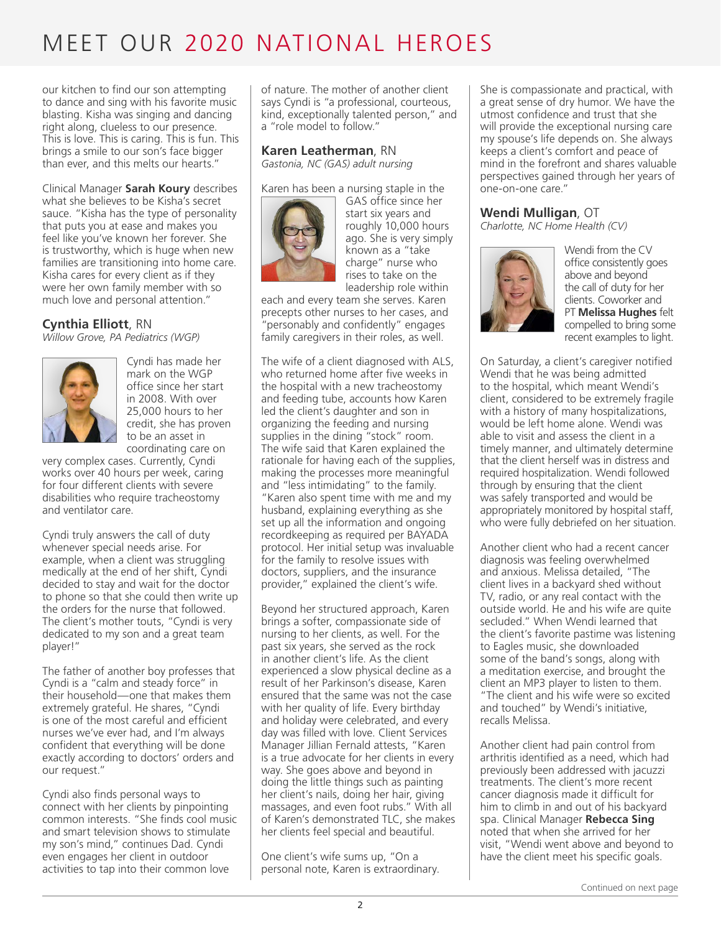our kitchen to find our son attempting to dance and sing with his favorite music blasting. Kisha was singing and dancing right along, clueless to our presence. This is love. This is caring. This is fun. This brings a smile to our son's face bigger than ever, and this melts our hearts."

Clinical Manager **Sarah Koury** describes what she believes to be Kisha's secret sauce. "Kisha has the type of personality that puts you at ease and makes you feel like you've known her forever. She is trustworthy, which is huge when new families are transitioning into home care. Kisha cares for every client as if they were her own family member with so much love and personal attention."

#### **Cynthia Elliott**, RN

*Willow Grove, PA Pediatrics (WGP)*



Cyndi has made her mark on the WGP office since her start in 2008. With over 25,000 hours to her credit, she has proven to be an asset in coordinating care on

very complex cases. Currently, Cyndi works over 40 hours per week, caring for four different clients with severe disabilities who require tracheostomy and ventilator care.

Cyndi truly answers the call of duty whenever special needs arise. For example, when a client was struggling medically at the end of her shift, Cyndi decided to stay and wait for the doctor to phone so that she could then write up the orders for the nurse that followed. The client's mother touts, "Cyndi is very dedicated to my son and a great team player!"

The father of another boy professes that Cyndi is a "calm and steady force" in their household—one that makes them extremely grateful. He shares, "Cyndi is one of the most careful and efficient nurses we've ever had, and I'm always confident that everything will be done exactly according to doctors' orders and our request."

Cyndi also finds personal ways to connect with her clients by pinpointing common interests. "She finds cool music and smart television shows to stimulate my son's mind," continues Dad. Cyndi even engages her client in outdoor activities to tap into their common love

of nature. The mother of another client says Cyndi is "a professional, courteous, kind, exceptionally talented person," and a "role model to follow."

#### **Karen Leatherman**, RN *Gastonia, NC (GAS) adult nursing*

Karen has been a nursing staple in the



GAS office since her start six years and roughly 10,000 hours ago. She is very simply known as a "take charge" nurse who rises to take on the leadership role within

each and every team she serves. Karen precepts other nurses to her cases, and "personably and confidently" engages family caregivers in their roles, as well.

The wife of a client diagnosed with ALS, who returned home after five weeks in the hospital with a new tracheostomy and feeding tube, accounts how Karen led the client's daughter and son in organizing the feeding and nursing supplies in the dining "stock" room. The wife said that Karen explained the rationale for having each of the supplies, making the processes more meaningful and "less intimidating" to the family. "Karen also spent time with me and my husband, explaining everything as she set up all the information and ongoing recordkeeping as required per BAYADA protocol. Her initial setup was invaluable for the family to resolve issues with doctors, suppliers, and the insurance provider," explained the client's wife.

Beyond her structured approach, Karen brings a softer, compassionate side of nursing to her clients, as well. For the past six years, she served as the rock in another client's life. As the client experienced a slow physical decline as a result of her Parkinson's disease, Karen ensured that the same was not the case with her quality of life. Every birthday and holiday were celebrated, and every day was filled with love. Client Services Manager Jillian Fernald attests, "Karen is a true advocate for her clients in every way. She goes above and beyond in doing the little things such as painting her client's nails, doing her hair, giving massages, and even foot rubs." With all of Karen's demonstrated TLC, she makes her clients feel special and beautiful.

One client's wife sums up, "On a personal note, Karen is extraordinary. She is compassionate and practical, with a great sense of dry humor. We have the utmost confidence and trust that she will provide the exceptional nursing care my spouse's life depends on. She always keeps a client's comfort and peace of mind in the forefront and shares valuable perspectives gained through her years of one-on-one care."

#### **Wendi Mulligan**, OT

*Charlotte, NC Home Health (CV)*



Wendi from the CV office consistently goes above and beyond the call of duty for her clients. Coworker and PT **Melissa Hughes** felt compelled to bring some recent examples to light.

On Saturday, a client's caregiver notified Wendi that he was being admitted to the hospital, which meant Wendi's client, considered to be extremely fragile with a history of many hospitalizations, would be left home alone. Wendi was able to visit and assess the client in a timely manner, and ultimately determine that the client herself was in distress and required hospitalization. Wendi followed through by ensuring that the client was safely transported and would be appropriately monitored by hospital staff, who were fully debriefed on her situation.

Another client who had a recent cancer diagnosis was feeling overwhelmed and anxious. Melissa detailed, "The client lives in a backyard shed without TV, radio, or any real contact with the outside world. He and his wife are quite secluded." When Wendi learned that the client's favorite pastime was listening to Eagles music, she downloaded some of the band's songs, along with a meditation exercise, and brought the client an MP3 player to listen to them. "The client and his wife were so excited and touched" by Wendi's initiative, recalls Melissa.

Another client had pain control from arthritis identified as a need, which had previously been addressed with jacuzzi treatments. The client's more recent cancer diagnosis made it difficult for him to climb in and out of his backyard spa. Clinical Manager **Rebecca Sing** noted that when she arrived for her visit, "Wendi went above and beyond to have the client meet his specific goals.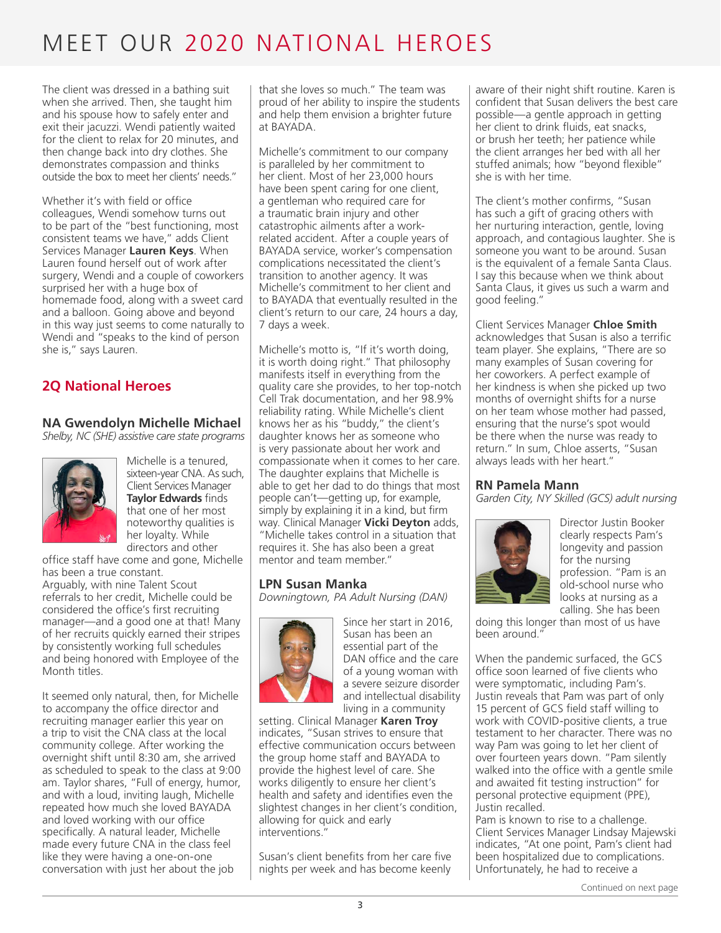The client was dressed in a bathing suit when she arrived. Then, she taught him and his spouse how to safely enter and exit their jacuzzi. Wendi patiently waited for the client to relax for 20 minutes, and then change back into dry clothes. She demonstrates compassion and thinks outside the box to meet her clients' needs."

Whether it's with field or office colleagues, Wendi somehow turns out to be part of the "best functioning, most consistent teams we have," adds Client Services Manager **Lauren Keys**. When Lauren found herself out of work after surgery, Wendi and a couple of coworkers surprised her with a huge box of homemade food, along with a sweet card and a balloon. Going above and beyond in this way just seems to come naturally to Wendi and "speaks to the kind of person she is," says Lauren.

### **2Q National Heroes**

### **NA Gwendolyn Michelle Michael**

*Shelby, NC (SHE) assistive care state programs*



Michelle is a tenured, sixteen-year CNA. As such, Client Services Manager **Taylor Edwards** finds that one of her most noteworthy qualities is her loyalty. While directors and other

office staff have come and gone, Michelle has been a true constant.

Arguably, with nine Talent Scout referrals to her credit, Michelle could be considered the office's first recruiting manager—and a good one at that! Many of her recruits quickly earned their stripes by consistently working full schedules and being honored with Employee of the Month titles.

It seemed only natural, then, for Michelle to accompany the office director and recruiting manager earlier this year on a trip to visit the CNA class at the local community college. After working the overnight shift until 8:30 am, she arrived as scheduled to speak to the class at 9:00 am. Taylor shares, "Full of energy, humor, and with a loud, inviting laugh, Michelle repeated how much she loved BAYADA and loved working with our office specifically. A natural leader, Michelle made every future CNA in the class feel like they were having a one-on-one conversation with just her about the job

that she loves so much." The team was proud of her ability to inspire the students and help them envision a brighter future at BAYADA.

Michelle's commitment to our company is paralleled by her commitment to her client. Most of her 23,000 hours have been spent caring for one client, a gentleman who required care for a traumatic brain injury and other catastrophic ailments after a workrelated accident. After a couple years of BAYADA service, worker's compensation complications necessitated the client's transition to another agency. It was Michelle's commitment to her client and to BAYADA that eventually resulted in the client's return to our care, 24 hours a day, 7 days a week.

Michelle's motto is, "If it's worth doing, it is worth doing right." That philosophy manifests itself in everything from the quality care she provides, to her top-notch Cell Trak documentation, and her 98.9% reliability rating. While Michelle's client knows her as his "buddy," the client's daughter knows her as someone who is very passionate about her work and compassionate when it comes to her care. The daughter explains that Michelle is able to get her dad to do things that most people can't—getting up, for example, simply by explaining it in a kind, but firm way. Clinical Manager **Vicki Deyton** adds, "Michelle takes control in a situation that requires it. She has also been a great mentor and team member."

#### **LPN Susan Manka**

*Downingtown, PA Adult Nursing (DAN)*



Since her start in 2016, Susan has been an essential part of the DAN office and the care of a young woman with a severe seizure disorder and intellectual disability living in a community

setting. Clinical Manager **Karen Troy** indicates, "Susan strives to ensure that effective communication occurs between the group home staff and BAYADA to provide the highest level of care. She works diligently to ensure her client's health and safety and identifies even the slightest changes in her client's condition, allowing for quick and early interventions."

Susan's client benefits from her care five nights per week and has become keenly aware of their night shift routine. Karen is confident that Susan delivers the best care possible—a gentle approach in getting her client to drink fluids, eat snacks, or brush her teeth; her patience while the client arranges her bed with all her stuffed animals; how "beyond flexible" she is with her time.

The client's mother confirms, "Susan has such a gift of gracing others with her nurturing interaction, gentle, loving approach, and contagious laughter. She is someone you want to be around. Susan is the equivalent of a female Santa Claus. I say this because when we think about Santa Claus, it gives us such a warm and good feeling."

Client Services Manager **Chloe Smith** acknowledges that Susan is also a terrific team player. She explains, "There are so many examples of Susan covering for her coworkers. A perfect example of her kindness is when she picked up two months of overnight shifts for a nurse on her team whose mother had passed, ensuring that the nurse's spot would be there when the nurse was ready to return." In sum, Chloe asserts, "Susan always leads with her heart."

#### **RN Pamela Mann**

*Garden City, NY Skilled (GCS) adult nursing*



Director Justin Booker clearly respects Pam's longevity and passion for the nursing profession. "Pam is an old-school nurse who looks at nursing as a calling. She has been

doing this longer than most of us have been around."

When the pandemic surfaced, the GCS office soon learned of five clients who were symptomatic, including Pam's. Justin reveals that Pam was part of only 15 percent of GCS field staff willing to work with COVID-positive clients, a true testament to her character. There was no way Pam was going to let her client of over fourteen years down. "Pam silently walked into the office with a gentle smile and awaited fit testing instruction" for personal protective equipment (PPE), Justin recalled.

Pam is known to rise to a challenge. Client Services Manager Lindsay Majewski indicates, "At one point, Pam's client had been hospitalized due to complications. Unfortunately, he had to receive a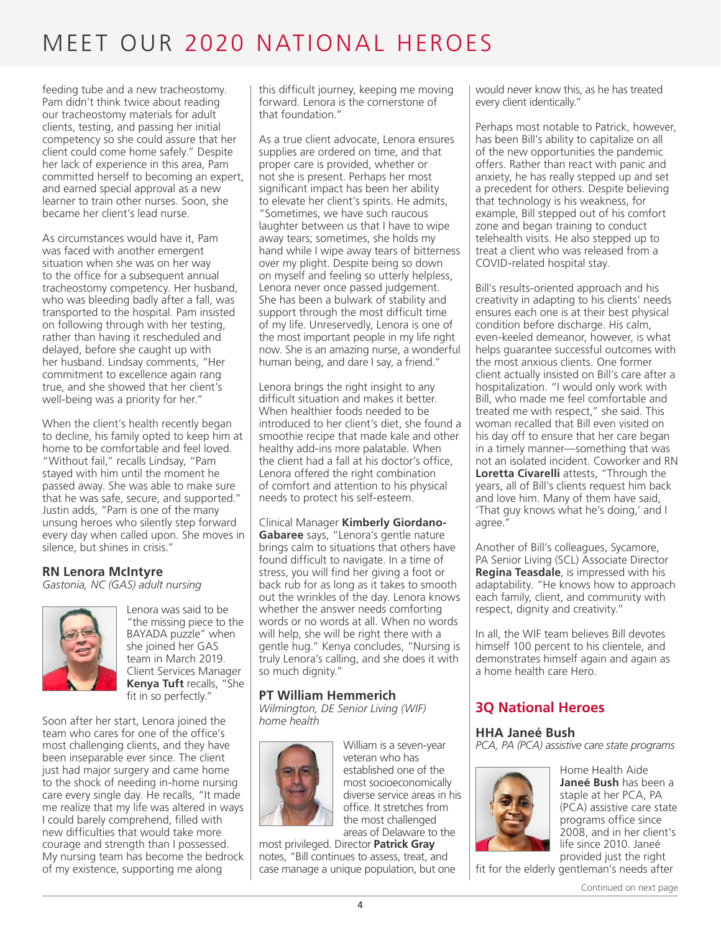feeding tube and a new tracheostomy. Pam didn't think twice about reading our tracheostomy materials for adult clients, testing, and passing her initial competency so she could assure that her client could come home safely." Despite her lack of experience in this area, Pam committed herself to becoming an expert, and earned special approval as a new learner to train other nurses. Soon, she became her client's lead nurse.

As circumstances would have it, Pam was faced with another emergent situation when she was on her way to the office for a subsequent annual tracheostomy competency. Her husband, who was bleeding badly after a fall, was transported to the hospital. Pam insisted on following through with her testing, rather than having it rescheduled and delayed, before she caught up with her husband. Lindsay comments, "Her commitment to excellence again rang true, and she showed that her client's well-being was a priority for her."

When the client's health recently began to decline, his family opted to keep him at home to be comfortable and feel loved. "Without fail," recalls Lindsay, "Pam stayed with him until the moment he passed away. She was able to make sure that he was safe, secure, and supported." Justin adds, "Pam is one of the many unsung heroes who silently step forward every day when called upon. She moves in silence, but shines in crisis."

#### **RN Lenora McIntyre**

*Gastonia, NC (GAS) adult nursing*



Lenora was said to be "the missing piece to the BAYADA puzzle" when she joined her GAS team in March 2019. Client Services Manager **Kenya Tuft** recalls, "She fit in so perfectly."

Soon after her start, Lenora joined the team who cares for one of the office's most challenging clients, and they have been inseparable ever since. The client just had major surgery and came home to the shock of needing in-home nursing care every single day. He recalls, "It made me realize that my life was altered in ways I could barely comprehend, filled with new difficulties that would take more courage and strength than I possessed. My nursing team has become the bedrock of my existence, supporting me along

this difficult journey, keeping me moving forward. Lenora is the cornerstone of that foundation."

As a true client advocate, Lenora ensures supplies are ordered on time, and that proper care is provided, whether or not she is present. Perhaps her most significant impact has been her ability to elevate her client's spirits. He admits, "Sometimes, we have such raucous laughter between us that I have to wipe away tears; sometimes, she holds my hand while I wipe away tears of bitterness over my plight. Despite being so down on myself and feeling so utterly helpless, Lenora never once passed judgement. She has been a bulwark of stability and support through the most difficult time of my life. Unreservedly, Lenora is one of the most important people in my life right now. She is an amazing nurse, a wonderful human being, and dare I say, a friend."

Lenora brings the right insight to any difficult situation and makes it better. When healthier foods needed to be introduced to her client's diet, she found a smoothie recipe that made kale and other healthy add-ins more palatable. When the client had a fall at his doctor's office, Lenora offered the right combination of comfort and attention to his physical needs to protect his self-esteem.

#### Clinical Manager **Kimberly Giordano-Gabaree** says, "Lenora's gentle nature brings calm to situations that others have found difficult to navigate. In a time of stress, you will find her giving a foot or back rub for as long as it takes to smooth out the wrinkles of the day. Lenora knows whether the answer needs comforting words or no words at all. When no words will help, she will be right there with a gentle hug." Kenya concludes, "Nursing is truly Lenora's calling, and she does it with so much dignity."

#### **PT William Hemmerich**

*Wilmington, DE Senior Living (WIF) home health*



William is a seven-year veteran who has established one of the most socioeconomically diverse service areas in his office. It stretches from the most challenged areas of Delaware to the

most privileged. Director **Patrick Gray** notes, "Bill continues to assess, treat, and case manage a unique population, but one would never know this, as he has treated every client identically."

Perhaps most notable to Patrick, however, has been Bill's ability to capitalize on all of the new opportunities the pandemic offers. Rather than react with panic and anxiety, he has really stepped up and set a precedent for others. Despite believing that technology is his weakness, for example, Bill stepped out of his comfort zone and began training to conduct telehealth visits. He also stepped up to treat a client who was released from a COVID-related hospital stay.

Bill's results-oriented approach and his creativity in adapting to his clients' needs ensures each one is at their best physical condition before discharge. His calm, even-keeled demeanor, however, is what helps guarantee successful outcomes with the most anxious clients. One former client actually insisted on Bill's care after a hospitalization. "I would only work with Bill, who made me feel comfortable and treated me with respect," she said. This woman recalled that Bill even visited on his day off to ensure that her care began in a timely manner—something that was not an isolated incident. Coworker and RN **Loretta Civarelli** attests, "Through the years, all of Bill's clients request him back and love him. Many of them have said, 'That guy knows what he's doing,' and I agree."

Another of Bill's colleagues, Sycamore, PA Senior Living (SCL) Associate Director **Regina Teasdale**, is impressed with his adaptability. "He knows how to approach each family, client, and community with respect, dignity and creativity."

In all, the WIF team believes Bill devotes himself 100 percent to his clientele, and demonstrates himself again and again as a home health care Hero.

## **3Q National Heroes**

#### **HHA Janeé Bush**

*PCA, PA (PCA) assistive care state programs*



Home Health Aide **Janeé Bush** has been a staple at her PCA, PA (PCA) assistive care state programs office since 2008, and in her client's life since 2010. Janeé provided just the right

fit for the elderly gentleman's needs after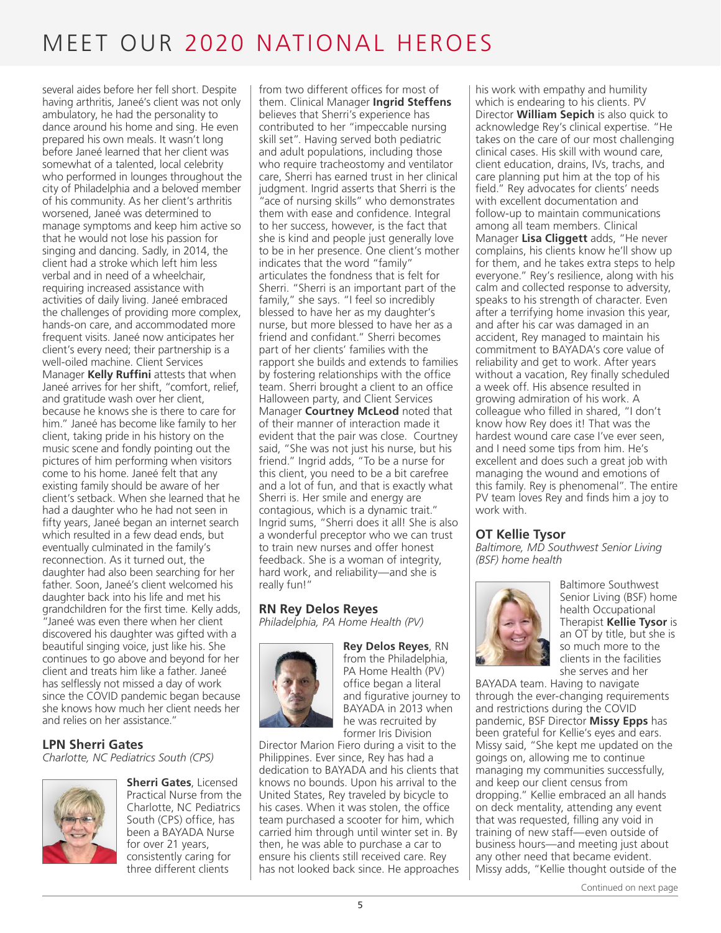several aides before her fell short. Despite having arthritis, Janeé's client was not only ambulatory, he had the personality to dance around his home and sing. He even prepared his own meals. It wasn't long before Janeé learned that her client was somewhat of a talented, local celebrity who performed in lounges throughout the city of Philadelphia and a beloved member of his community. As her client's arthritis worsened, Janeé was determined to manage symptoms and keep him active so that he would not lose his passion for singing and dancing. Sadly, in 2014, the client had a stroke which left him less verbal and in need of a wheelchair, requiring increased assistance with activities of daily living. Janeé embraced the challenges of providing more complex, hands-on care, and accommodated more frequent visits. Janeé now anticipates her client's every need; their partnership is a well-oiled machine. Client Services Manager **Kelly Ruffini** attests that when Janeé arrives for her shift, "comfort, relief, and gratitude wash over her client, because he knows she is there to care for him." Janeé has become like family to her client, taking pride in his history on the music scene and fondly pointing out the pictures of him performing when visitors come to his home. Janeé felt that any existing family should be aware of her client's setback. When she learned that he had a daughter who he had not seen in fifty years, Janeé began an internet search which resulted in a few dead ends, but eventually culminated in the family's reconnection. As it turned out, the daughter had also been searching for her father. Soon, Janeé's client welcomed his daughter back into his life and met his grandchildren for the first time. Kelly adds, "Janeé was even there when her client discovered his daughter was gifted with a beautiful singing voice, just like his. She continues to go above and beyond for her client and treats him like a father. Janeé has selflessly not missed a day of work since the COVID pandemic began because she knows how much her client needs her and relies on her assistance."

#### **LPN Sherri Gates**

*Charlotte, NC Pediatrics South (CPS)*



**Sherri Gates**, Licensed Practical Nurse from the Charlotte, NC Pediatrics South (CPS) office, has been a BAYADA Nurse for over 21 years, consistently caring for three different clients

from two different offices for most of them. Clinical Manager **Ingrid Steffens** believes that Sherri's experience has contributed to her "impeccable nursing skill set". Having served both pediatric and adult populations, including those who require tracheostomy and ventilator care, Sherri has earned trust in her clinical judgment. Ingrid asserts that Sherri is the "ace of nursing skills" who demonstrates them with ease and confidence. Integral to her success, however, is the fact that she is kind and people just generally love to be in her presence. One client's mother indicates that the word "family" articulates the fondness that is felt for Sherri. "Sherri is an important part of the family," she says. "I feel so incredibly blessed to have her as my daughter's nurse, but more blessed to have her as a friend and confidant." Sherri becomes part of her clients' families with the rapport she builds and extends to families by fostering relationships with the office team. Sherri brought a client to an office Halloween party, and Client Services Manager **Courtney McLeod** noted that of their manner of interaction made it evident that the pair was close. Courtney said, "She was not just his nurse, but his friend." Ingrid adds, "To be a nurse for this client, you need to be a bit carefree and a lot of fun, and that is exactly what Sherri is. Her smile and energy are contagious, which is a dynamic trait." Ingrid sums, "Sherri does it all! She is also a wonderful preceptor who we can trust to train new nurses and offer honest feedback. She is a woman of integrity, hard work, and reliability—and she is really fun!"

#### **RN Rey Delos Reyes**

*Philadelphia, PA Home Health (PV)*



**Rey Delos Reyes**, RN from the Philadelphia, PA Home Health (PV) office began a literal and figurative journey to BAYADA in 2013 when he was recruited by former Iris Division

Director Marion Fiero during a visit to the Philippines. Ever since, Rey has had a dedication to BAYADA and his clients that knows no bounds. Upon his arrival to the United States, Rey traveled by bicycle to his cases. When it was stolen, the office team purchased a scooter for him, which carried him through until winter set in. By then, he was able to purchase a car to ensure his clients still received care. Rey has not looked back since. He approaches

his work with empathy and humility which is endearing to his clients. PV Director **William Sepich** is also quick to acknowledge Rey's clinical expertise. "He takes on the care of our most challenging clinical cases. His skill with wound care, client education, drains, IVs, trachs, and care planning put him at the top of his field." Rey advocates for clients' needs with excellent documentation and follow-up to maintain communications among all team members. Clinical Manager **Lisa Cliggett** adds, "He never complains, his clients know he'll show up for them, and he takes extra steps to help everyone." Rey's resilience, along with his calm and collected response to adversity, speaks to his strength of character. Even after a terrifying home invasion this year, and after his car was damaged in an accident, Rey managed to maintain his commitment to BAYADA's core value of reliability and get to work. After years without a vacation, Rey finally scheduled a week off. His absence resulted in growing admiration of his work. A colleague who filled in shared, "I don't know how Rey does it! That was the hardest wound care case I've ever seen, and I need some tips from him. He's excellent and does such a great job with managing the wound and emotions of this family. Rey is phenomenal". The entire PV team loves Rey and finds him a joy to work with.

#### **OT Kellie Tysor**

*Baltimore, MD Southwest Senior Living (BSF) home health*



Baltimore Southwest Senior Living (BSF) home health Occupational Therapist **Kellie Tysor** is an OT by title, but she is so much more to the clients in the facilities she serves and her

BAYADA team. Having to navigate through the ever-changing requirements and restrictions during the COVID pandemic, BSF Director **Missy Epps** has been grateful for Kellie's eyes and ears. Missy said, "She kept me updated on the goings on, allowing me to continue managing my communities successfully, and keep our client census from dropping." Kellie embraced an all hands on deck mentality, attending any event that was requested, filling any void in training of new staff—even outside of business hours—and meeting just about any other need that became evident. Missy adds, "Kellie thought outside of the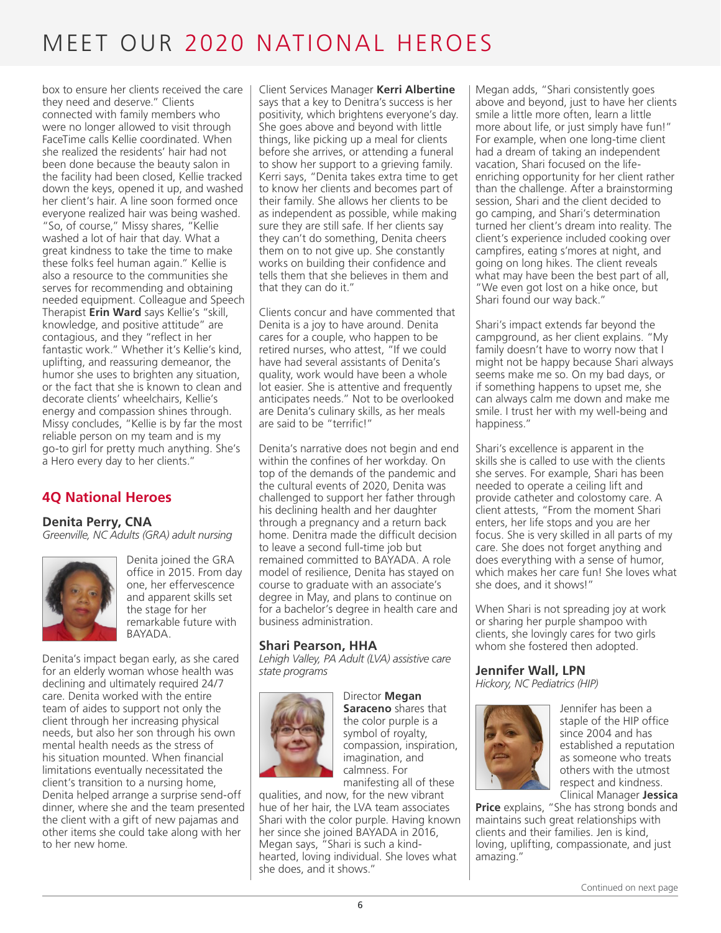box to ensure her clients received the care they need and deserve." Clients connected with family members who were no longer allowed to visit through FaceTime calls Kellie coordinated. When she realized the residents' hair had not been done because the beauty salon in the facility had been closed, Kellie tracked down the keys, opened it up, and washed her client's hair. A line soon formed once everyone realized hair was being washed. "So, of course," Missy shares, "Kellie washed a lot of hair that day. What a great kindness to take the time to make these folks feel human again." Kellie is also a resource to the communities she serves for recommending and obtaining needed equipment. Colleague and Speech Therapist **Erin Ward** says Kellie's "skill, knowledge, and positive attitude" are contagious, and they "reflect in her fantastic work." Whether it's Kellie's kind, uplifting, and reassuring demeanor, the humor she uses to brighten any situation, or the fact that she is known to clean and decorate clients' wheelchairs, Kellie's energy and compassion shines through. Missy concludes, "Kellie is by far the most reliable person on my team and is my go-to girl for pretty much anything. She's a Hero every day to her clients."

### **4Q National Heroes**

#### **Denita Perry, CNA**

*Greenville, NC Adults (GRA) adult nursing*



Denita joined the GRA office in 2015. From day one, her effervescence and apparent skills set the stage for her remarkable future with BAYADA.

Denita's impact began early, as she cared for an elderly woman whose health was declining and ultimately required 24/7 care. Denita worked with the entire team of aides to support not only the client through her increasing physical needs, but also her son through his own mental health needs as the stress of his situation mounted. When financial limitations eventually necessitated the client's transition to a nursing home, Denita helped arrange a surprise send-off dinner, where she and the team presented the client with a gift of new pajamas and other items she could take along with her to her new home.

Client Services Manager **Kerri Albertine** says that a key to Denitra's success is her positivity, which brightens everyone's day. She goes above and beyond with little things, like picking up a meal for clients before she arrives, or attending a funeral to show her support to a grieving family. Kerri says, "Denita takes extra time to get to know her clients and becomes part of their family. She allows her clients to be as independent as possible, while making sure they are still safe. If her clients say they can't do something, Denita cheers them on to not give up. She constantly works on building their confidence and tells them that she believes in them and that they can do it."

Clients concur and have commented that Denita is a joy to have around. Denita cares for a couple, who happen to be retired nurses, who attest, "If we could have had several assistants of Denita's quality, work would have been a whole lot easier. She is attentive and frequently anticipates needs." Not to be overlooked are Denita's culinary skills, as her meals are said to be "terrific!"

Denita's narrative does not begin and end within the confines of her workday. On top of the demands of the pandemic and the cultural events of 2020, Denita was challenged to support her father through his declining health and her daughter through a pregnancy and a return back home. Denitra made the difficult decision to leave a second full-time job but remained committed to BAYADA. A role model of resilience, Denita has stayed on course to graduate with an associate's degree in May, and plans to continue on for a bachelor's degree in health care and business administration.

#### **Shari Pearson, HHA**

*Lehigh Valley, PA Adult (LVA) assistive care state programs*



Director **Megan Saraceno** shares that the color purple is a symbol of royalty, compassion, inspiration, imagination, and calmness. For manifesting all of these

qualities, and now, for the new vibrant hue of her hair, the LVA team associates Shari with the color purple. Having known her since she joined BAYADA in 2016, Megan says, "Shari is such a kindhearted, loving individual. She loves what she does, and it shows."

Megan adds, "Shari consistently goes above and beyond, just to have her clients smile a little more often, learn a little more about life, or just simply have fun!" For example, when one long-time client had a dream of taking an independent vacation, Shari focused on the lifeenriching opportunity for her client rather than the challenge. After a brainstorming session, Shari and the client decided to go camping, and Shari's determination turned her client's dream into reality. The client's experience included cooking over campfires, eating s'mores at night, and going on long hikes. The client reveals what may have been the best part of all, "We even got lost on a hike once, but Shari found our way back."

Shari's impact extends far beyond the campground, as her client explains. "My family doesn't have to worry now that I might not be happy because Shari always seems make me so. On my bad days, or if something happens to upset me, she can always calm me down and make me smile. I trust her with my well-being and happiness."

Shari's excellence is apparent in the skills she is called to use with the clients she serves. For example, Shari has been needed to operate a ceiling lift and provide catheter and colostomy care. A client attests, "From the moment Shari enters, her life stops and you are her focus. She is very skilled in all parts of my care. She does not forget anything and does everything with a sense of humor, which makes her care fun! She loves what she does, and it shows!"

When Shari is not spreading joy at work or sharing her purple shampoo with clients, she lovingly cares for two girls whom she fostered then adopted.

### **Jennifer Wall, LPN**

*Hickory, NC Pediatrics (HIP)*



Jennifer has been a staple of the HIP office since 2004 and has established a reputation as someone who treats others with the utmost respect and kindness. Clinical Manager **Jessica** 

**Price** explains, "She has strong bonds and maintains such great relationships with clients and their families. Jen is kind, loving, uplifting, compassionate, and just amazing."